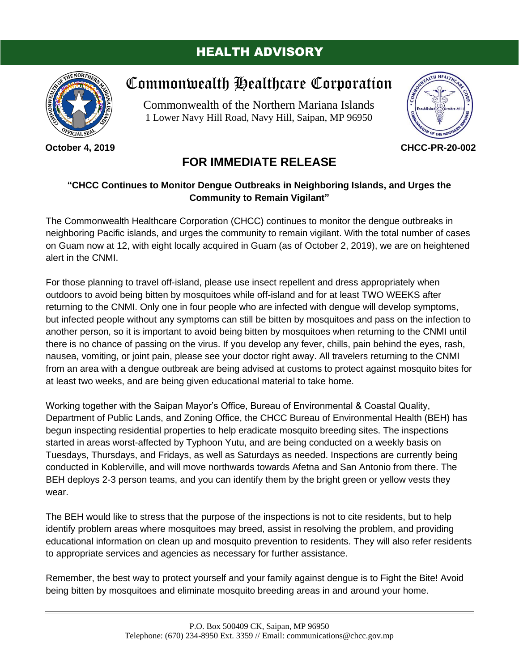## HEALTH ADVISORY



**October 4, 2019**

## Commonwealth Healthcare Corporation

Commonwealth of the Northern Mariana Islands 1 Lower Navy Hill Road, Navy Hill, Saipan, MP 96950



**CHCC-PR-20-002**

## **FOR IMMEDIATE RELEASE**

## **"CHCC Continues to Monitor Dengue Outbreaks in Neighboring Islands, and Urges the Community to Remain Vigilant"**

The Commonwealth Healthcare Corporation (CHCC) continues to monitor the dengue outbreaks in neighboring Pacific islands, and urges the community to remain vigilant. With the total number of cases on Guam now at 12, with eight locally acquired in Guam (as of October 2, 2019), we are on heightened alert in the CNMI.

For those planning to travel off-island, please use insect repellent and dress appropriately when outdoors to avoid being bitten by mosquitoes while off-island and for at least TWO WEEKS after returning to the CNMI. Only one in four people who are infected with dengue will develop symptoms, but infected people without any symptoms can still be bitten by mosquitoes and pass on the infection to another person, so it is important to avoid being bitten by mosquitoes when returning to the CNMI until there is no chance of passing on the virus. If you develop any fever, chills, pain behind the eyes, rash, nausea, vomiting, or joint pain, please see your doctor right away. All travelers returning to the CNMI from an area with a dengue outbreak are being advised at customs to protect against mosquito bites for at least two weeks, and are being given educational material to take home.

Working together with the Saipan Mayor's Office, Bureau of Environmental & Coastal Quality, Department of Public Lands, and Zoning Office, the CHCC Bureau of Environmental Health (BEH) has begun inspecting residential properties to help eradicate mosquito breeding sites. The inspections started in areas worst-affected by Typhoon Yutu, and are being conducted on a weekly basis on Tuesdays, Thursdays, and Fridays, as well as Saturdays as needed. Inspections are currently being conducted in Koblerville, and will move northwards towards Afetna and San Antonio from there. The BEH deploys 2-3 person teams, and you can identify them by the bright green or yellow vests they wear.

The BEH would like to stress that the purpose of the inspections is not to cite residents, but to help identify problem areas where mosquitoes may breed, assist in resolving the problem, and providing educational information on clean up and mosquito prevention to residents. They will also refer residents to appropriate services and agencies as necessary for further assistance.

Remember, the best way to protect yourself and your family against dengue is to Fight the Bite! Avoid being bitten by mosquitoes and eliminate mosquito breeding areas in and around your home.